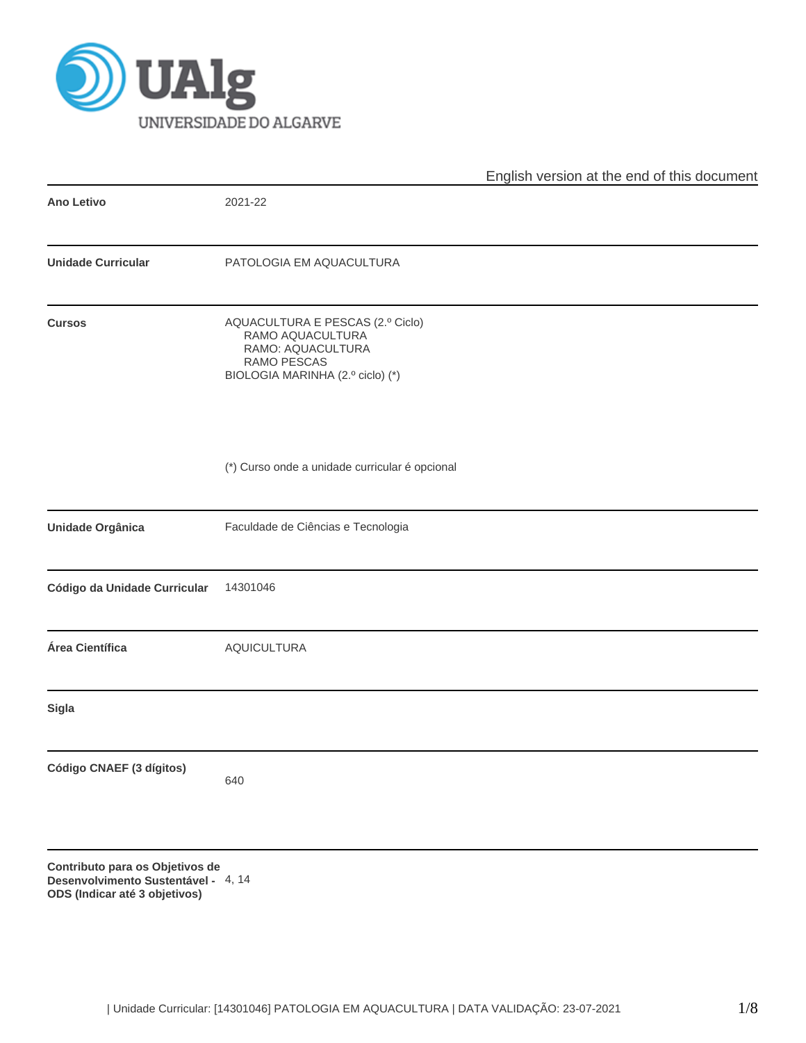

|                                                                        |                                                                                                                              | English version at the end of this document |  |  |  |
|------------------------------------------------------------------------|------------------------------------------------------------------------------------------------------------------------------|---------------------------------------------|--|--|--|
| <b>Ano Letivo</b>                                                      | 2021-22                                                                                                                      |                                             |  |  |  |
| <b>Unidade Curricular</b>                                              | PATOLOGIA EM AQUACULTURA                                                                                                     |                                             |  |  |  |
| <b>Cursos</b>                                                          | AQUACULTURA E PESCAS (2.º Ciclo)<br>RAMO AQUACULTURA<br>RAMO: AQUACULTURA<br>RAMO PESCAS<br>BIOLOGIA MARINHA (2.º ciclo) (*) |                                             |  |  |  |
|                                                                        | (*) Curso onde a unidade curricular é opcional                                                                               |                                             |  |  |  |
| Unidade Orgânica                                                       | Faculdade de Ciências e Tecnologia                                                                                           |                                             |  |  |  |
| Código da Unidade Curricular                                           | 14301046                                                                                                                     |                                             |  |  |  |
| Área Científica                                                        | <b>AQUICULTURA</b>                                                                                                           |                                             |  |  |  |
| Sigla                                                                  |                                                                                                                              |                                             |  |  |  |
| Código CNAEF (3 dígitos)                                               | 640                                                                                                                          |                                             |  |  |  |
| Contributo para os Objetivos de<br>Desenvolvimento Sustentável - 4, 14 |                                                                                                                              |                                             |  |  |  |

**ODS (Indicar até 3 objetivos)**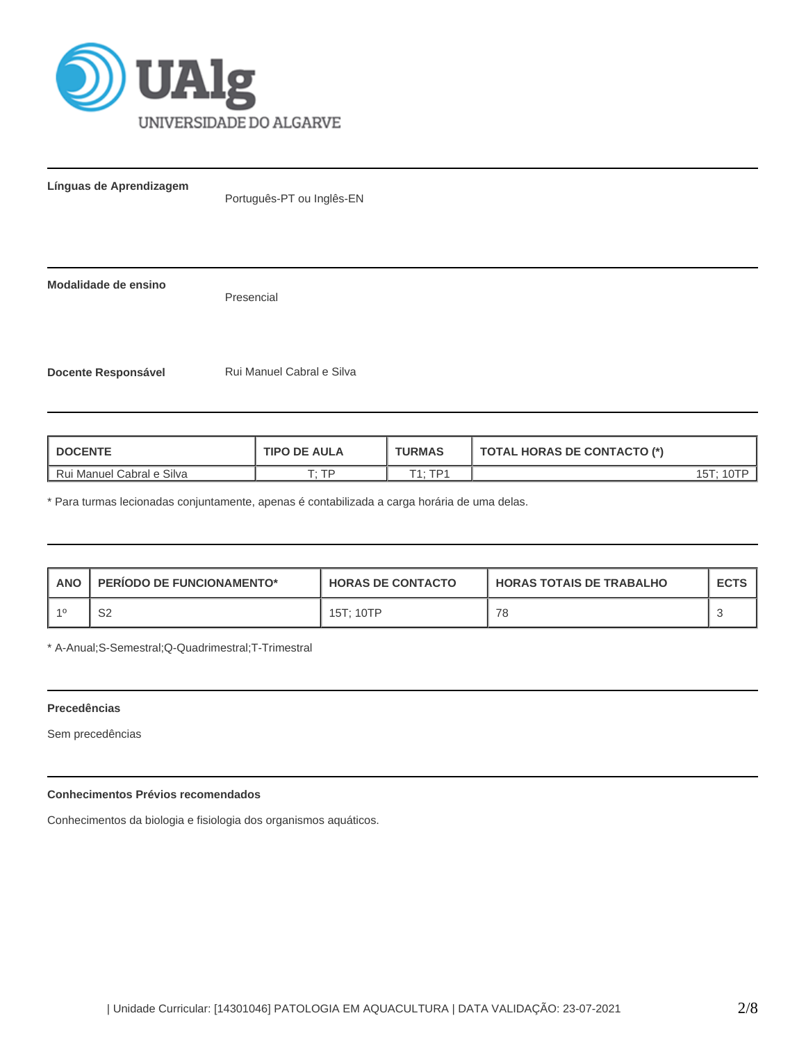

**Línguas de Aprendizagem**

Português-PT ou Inglês-EN

**Modalidade de ensino**

Presencial

**Docente Responsável Rui Manuel Cabral e Silva** 

| <b>I DOCENTE</b>            | <b>TIPO DE AULA</b> | <b>TURMAS</b> | <b>TOTAL HORAS DE CONTACTO (*)</b> |
|-----------------------------|---------------------|---------------|------------------------------------|
| I Rui Manuel Cabral e Silva | םד ה                | $-1.$ TD1     | $\cdot$                            |

\* Para turmas lecionadas conjuntamente, apenas é contabilizada a carga horária de uma delas.

| <b>ANO</b> | <b>PERIODO DE FUNCIONAMENTO*</b> | <b>HORAS DE CONTACTO</b> | <b>HORAS TOTAIS DE TRABALHO</b> | <b>ECTS</b> |
|------------|----------------------------------|--------------------------|---------------------------------|-------------|
| -10        | S <sub>2</sub>                   | 15T: 10TP                | 78                              |             |

\* A-Anual;S-Semestral;Q-Quadrimestral;T-Trimestral

### **Precedências**

Sem precedências

# **Conhecimentos Prévios recomendados**

Conhecimentos da biologia e fisiologia dos organismos aquáticos.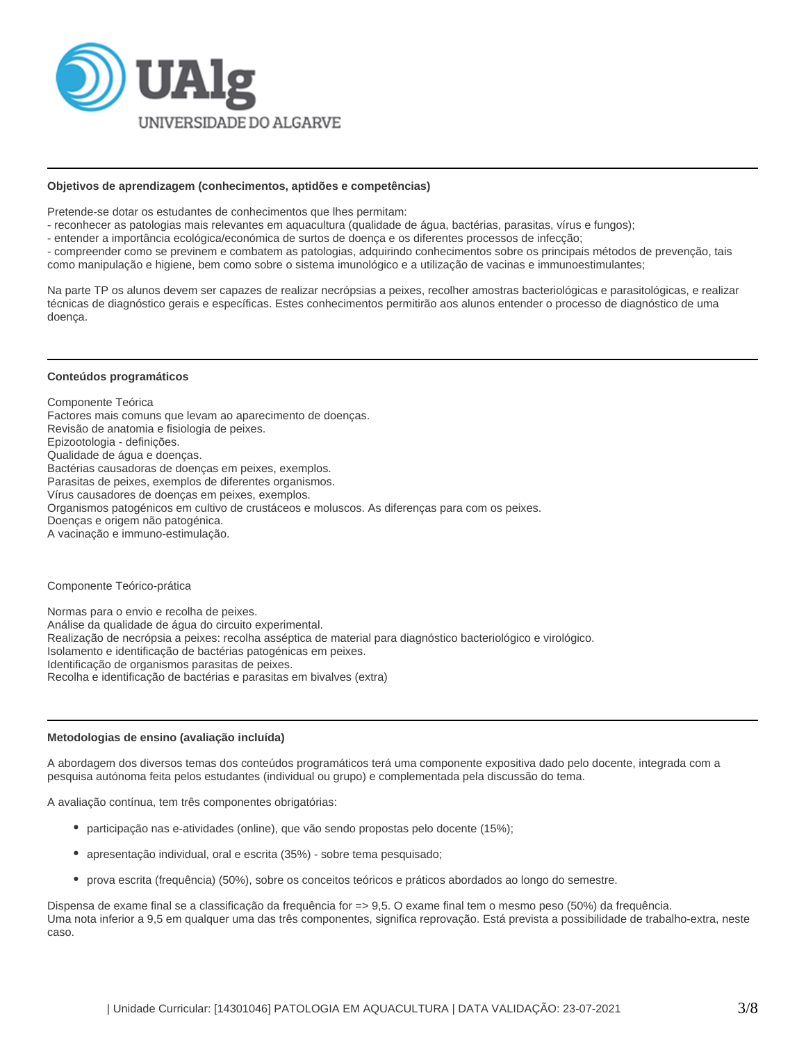

### **Objetivos de aprendizagem (conhecimentos, aptidões e competências)**

Pretende-se dotar os estudantes de conhecimentos que lhes permitam:

- reconhecer as patologias mais relevantes em aquacultura (qualidade de água, bactérias, parasitas, vírus e fungos);

- entender a importância ecológica/económica de surtos de doença e os diferentes processos de infecção;

- compreender como se previnem e combatem as patologias, adquirindo conhecimentos sobre os principais métodos de prevenção, tais como manipulação e higiene, bem como sobre o sistema imunológico e a utilização de vacinas e immunoestimulantes;

Na parte TP os alunos devem ser capazes de realizar necrópsias a peixes, recolher amostras bacteriológicas e parasitológicas, e realizar técnicas de diagnóstico gerais e específicas. Estes conhecimentos permitirão aos alunos entender o processo de diagnóstico de uma doença.

### **Conteúdos programáticos**

Componente Teórica Factores mais comuns que levam ao aparecimento de doenças. Revisão de anatomia e fisiologia de peixes. Epizootologia - definições. Qualidade de água e doenças. Bactérias causadoras de doenças em peixes, exemplos. Parasitas de peixes, exemplos de diferentes organismos. Vírus causadores de doenças em peixes, exemplos. Organismos patogénicos em cultivo de crustáceos e moluscos. As diferenças para com os peixes. Doenças e origem não patogénica. A vacinação e immuno-estimulação.

#### Componente Teórico-prática

Normas para o envio e recolha de peixes. Análise da qualidade de água do circuito experimental. Realização de necrópsia a peixes: recolha asséptica de material para diagnóstico bacteriológico e virológico. Isolamento e identificação de bactérias patogénicas em peixes. Identificação de organismos parasitas de peixes. Recolha e identificação de bactérias e parasitas em bivalves (extra)

#### **Metodologias de ensino (avaliação incluída)**

A abordagem dos diversos temas dos conteúdos programáticos terá uma componente expositiva dado pelo docente, integrada com a pesquisa autónoma feita pelos estudantes (individual ou grupo) e complementada pela discussão do tema.

A avaliação contínua, tem três componentes obrigatórias:

- participação nas e-atividades (online), que vão sendo propostas pelo docente (15%);
- apresentação individual, oral e escrita (35%) sobre tema pesquisado;
- prova escrita (frequência) (50%), sobre os conceitos teóricos e práticos abordados ao longo do semestre.

Dispensa de exame final se a classificação da frequência for => 9,5. O exame final tem o mesmo peso (50%) da frequência. Uma nota inferior a 9,5 em qualquer uma das três componentes, significa reprovação. Está prevista a possibilidade de trabalho-extra, neste caso.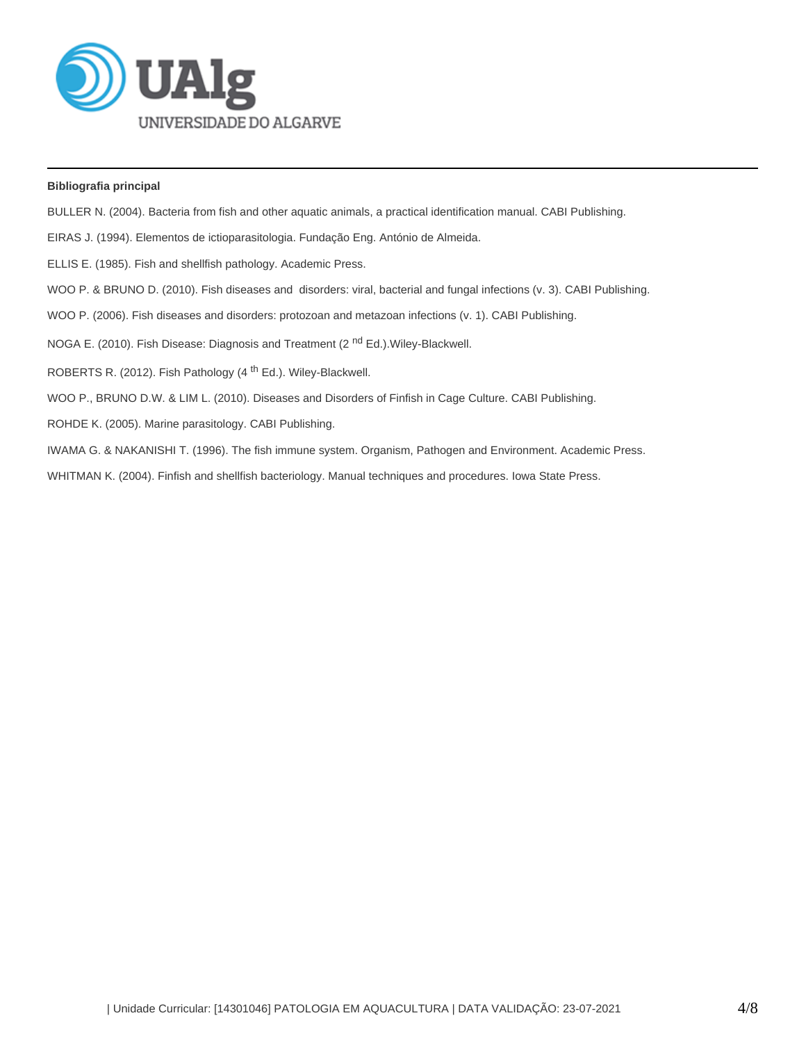

# **Bibliografia principal**

BULLER N. (2004). Bacteria from fish and other aquatic animals, a practical identification manual. CABI Publishing. EIRAS J. (1994). Elementos de ictioparasitologia. Fundação Eng. António de Almeida. ELLIS E. (1985). Fish and shellfish pathology. Academic Press. WOO P. & BRUNO D. (2010). Fish diseases and disorders: viral, bacterial and fungal infections (v. 3). CABI Publishing. WOO P. (2006). Fish diseases and disorders: protozoan and metazoan infections (v. 1). CABI Publishing. NOGA E. (2010). Fish Disease: Diagnosis and Treatment (2<sup>nd</sup> Ed.). Wiley-Blackwell. ROBERTS R. (2012). Fish Pathology (4<sup>th</sup> Ed.). Wiley-Blackwell. WOO P., BRUNO D.W. & LIM L. (2010). Diseases and Disorders of Finfish in Cage Culture. CABI Publishing. ROHDE K. (2005). Marine parasitology. CABI Publishing. IWAMA G. & NAKANISHI T. (1996). The fish immune system. Organism, Pathogen and Environment. Academic Press.

WHITMAN K. (2004). Finfish and shellfish bacteriology. Manual techniques and procedures. Iowa State Press.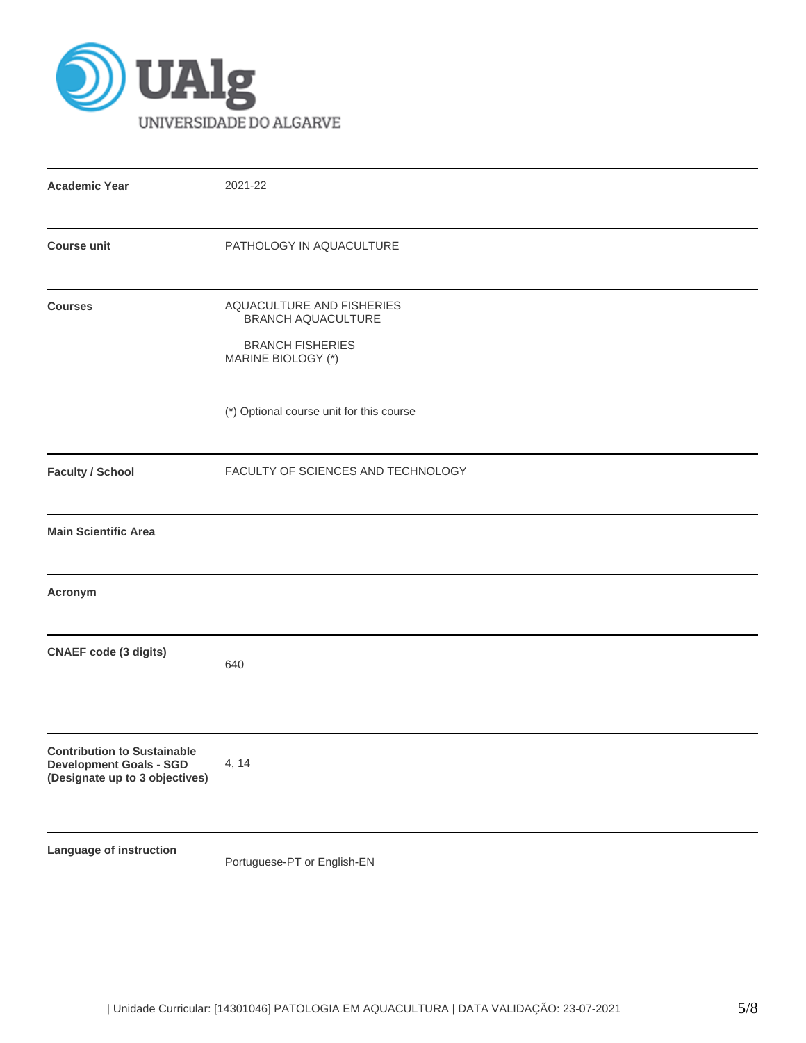

| <b>Academic Year</b>                                                                                   | 2021-22                                                                    |  |  |  |  |  |
|--------------------------------------------------------------------------------------------------------|----------------------------------------------------------------------------|--|--|--|--|--|
| <b>Course unit</b>                                                                                     | PATHOLOGY IN AQUACULTURE                                                   |  |  |  |  |  |
| <b>Courses</b>                                                                                         | AQUACULTURE AND FISHERIES<br>BRANCH AQUACULTURE<br><b>BRANCH FISHERIES</b> |  |  |  |  |  |
|                                                                                                        | MARINE BIOLOGY (*)<br>(*) Optional course unit for this course             |  |  |  |  |  |
|                                                                                                        |                                                                            |  |  |  |  |  |
| <b>Faculty / School</b>                                                                                | FACULTY OF SCIENCES AND TECHNOLOGY                                         |  |  |  |  |  |
| <b>Main Scientific Area</b>                                                                            |                                                                            |  |  |  |  |  |
| Acronym                                                                                                |                                                                            |  |  |  |  |  |
| <b>CNAEF code (3 digits)</b>                                                                           | 640                                                                        |  |  |  |  |  |
| <b>Contribution to Sustainable</b><br><b>Development Goals - SGD</b><br>(Designate up to 3 objectives) | 4, 14                                                                      |  |  |  |  |  |
| Language of instruction                                                                                | Portuguese-PT or English-EN                                                |  |  |  |  |  |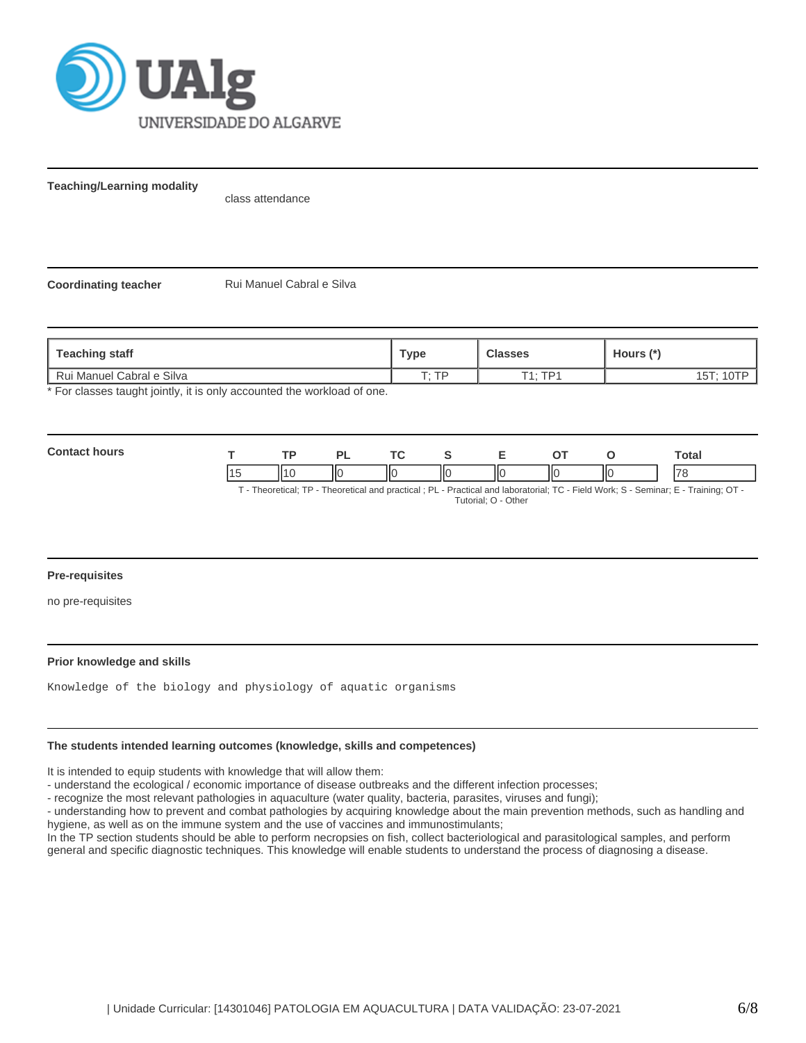

**Teaching/Learning modality**

class attendance

**Coordinating teacher** Rui Manuel Cabral e Silva

| Teaching staff                                                        | <b>Type</b> | <b>Classes</b> | Hours (*) |
|-----------------------------------------------------------------------|-------------|----------------|-----------|
| Rui Manuel Cabral e Silva                                             | סד ּד       | T1. TD1        |           |
| * Ear elecces tought jointly it is only occounted the workload of one |             |                |           |

or classes taught jointly, it is only accounted the workload of one.

| Con<br>hours<br>$ -$ | $\overline{\phantom{a}}$ |     | D. | $\mathbf{r}$ |   |          |     | Total |
|----------------------|--------------------------|-----|----|--------------|---|----------|-----|-------|
|                      |                          | II1 | ШΟ | IІC          | Ш | ШC<br>II | IІC | 170   |

T - Theoretical; TP - Theoretical and practical ; PL - Practical and laboratorial; TC - Field Work; S - Seminar; E - Training; OT - Tutorial; O - Other

### **Pre-requisites**

no pre-requisites

### **Prior knowledge and skills**

Knowledge of the biology and physiology of aquatic organisms

### **The students intended learning outcomes (knowledge, skills and competences)**

It is intended to equip students with knowledge that will allow them:

- understand the ecological / economic importance of disease outbreaks and the different infection processes;

- recognize the most relevant pathologies in aquaculture (water quality, bacteria, parasites, viruses and fungi);

- understanding how to prevent and combat pathologies by acquiring knowledge about the main prevention methods, such as handling and hygiene, as well as on the immune system and the use of vaccines and immunostimulants;

In the TP section students should be able to perform necropsies on fish, collect bacteriological and parasitological samples, and perform general and specific diagnostic techniques. This knowledge will enable students to understand the process of diagnosing a disease.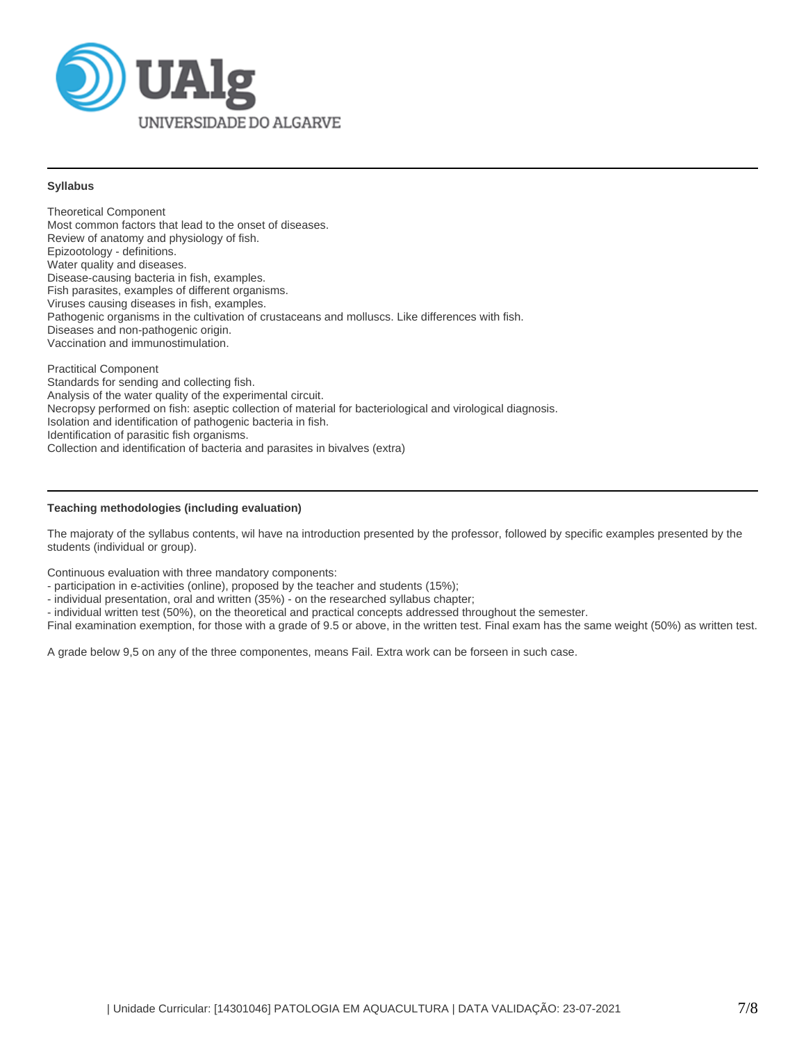

## **Syllabus**

Theoretical Component Most common factors that lead to the onset of diseases. Review of anatomy and physiology of fish. Epizootology - definitions. Water quality and diseases. Disease-causing bacteria in fish, examples. Fish parasites, examples of different organisms. Viruses causing diseases in fish, examples. Pathogenic organisms in the cultivation of crustaceans and molluscs. Like differences with fish. Diseases and non-pathogenic origin. Vaccination and immunostimulation.

Practitical Component Standards for sending and collecting fish. Analysis of the water quality of the experimental circuit. Necropsy performed on fish: aseptic collection of material for bacteriological and virological diagnosis. Isolation and identification of pathogenic bacteria in fish. Identification of parasitic fish organisms. Collection and identification of bacteria and parasites in bivalves (extra)

# **Teaching methodologies (including evaluation)**

The majoraty of the syllabus contents, wil have na introduction presented by the professor, followed by specific examples presented by the students (individual or group).

Continuous evaluation with three mandatory components:

- participation in e-activities (online), proposed by the teacher and students (15%);

- individual presentation, oral and written (35%) - on the researched syllabus chapter;

- individual written test (50%), on the theoretical and practical concepts addressed throughout the semester.

Final examination exemption, for those with a grade of 9.5 or above, in the written test. Final exam has the same weight (50%) as written test.

A grade below 9,5 on any of the three componentes, means Fail. Extra work can be forseen in such case.